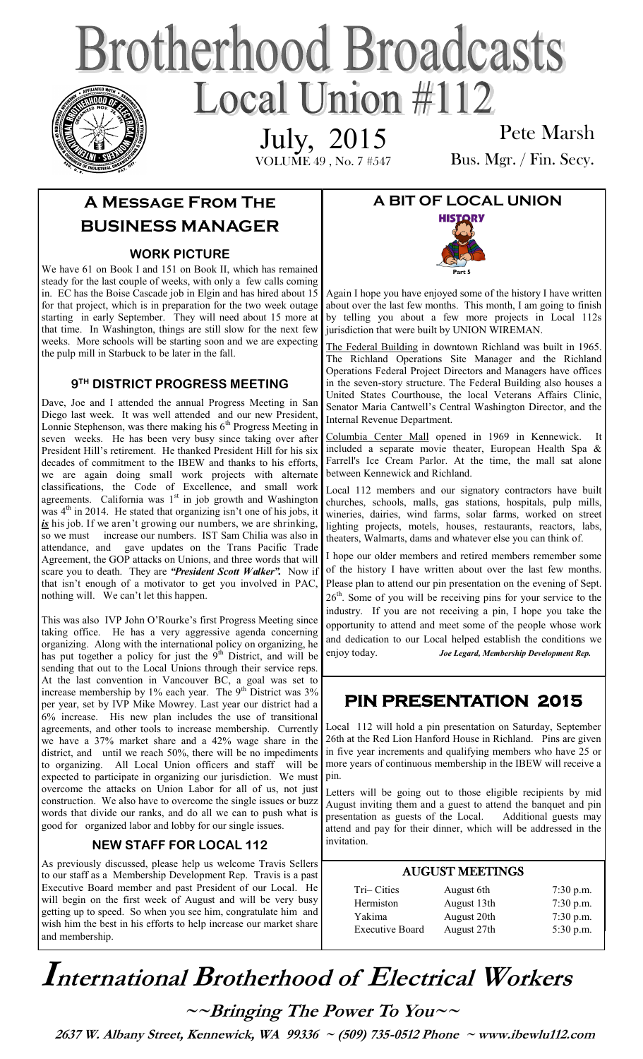# **Brotherhood Broadcasts** Local Union #112 July, 2015

VOLUME 49 , No. 7 #547

Pete Marsh Bus. Mgr. / Fin. Secy.

# **A Message From The BUSINESS MANAGER**

### **WORK PICTURE**

We have 61 on Book I and 151 on Book II, which has remained steady for the last couple of weeks, with only a few calls coming in. EC has the Boise Cascade job in Elgin and has hired about 15 for that project, which is in preparation for the two week outage starting in early September. They will need about 15 more at that time. In Washington, things are still slow for the next few weeks. More schools will be starting soon and we are expecting the pulp mill in Starbuck to be later in the fall.

### **9 TH DISTRICT PROGRESS MEETING**

Dave, Joe and I attended the annual Progress Meeting in San Diego last week. It was well attended and our new President, Lonnie Stephenson, was there making his  $6<sup>th</sup>$  Progress Meeting in seven weeks. He has been very busy since taking over after President Hill's retirement. He thanked President Hill for his six decades of commitment to the IBEW and thanks to his efforts, we are again doing small work projects with alternate classifications, the Code of Excellence, and small work agreements. California was  $1<sup>st</sup>$  in job growth and Washington was  $4<sup>th</sup>$  in 2014. He stated that organizing isn't one of his jobs, it is his job. If we aren't growing our numbers, we are shrinking, so we must increase our numbers. IST Sam Chilia was also in attendance, and gave updates on the Trans Pacific Trade Agreement, the GOP attacks on Unions, and three words that will scare you to death. They are *"President Scott Walker".* Now if that isn't enough of a motivator to get you involved in PAC, nothing will. We can't let this happen.

This was also IVP John O'Rourke's first Progress Meeting since taking office. He has a very aggressive agenda concerning organizing. Along with the international policy on organizing, he has put together a policy for just the  $9<sup>th</sup>$  District, and will be sending that out to the Local Unions through their service reps. At the last convention in Vancouver BC, a goal was set to increase membership by 1% each year. The 9<sup>th</sup> District was 3% per year, set by IVP Mike Mowrey. Last year our district had a 6% increase. His new plan includes the use of transitional agreements, and other tools to increase membership. Currently we have a 37% market share and a 42% wage share in the district, and until we reach 50%, there will be no impediments to organizing. All Local Union officers and staff will be expected to participate in organizing our jurisdiction. We must overcome the attacks on Union Labor for all of us, not just construction. We also have to overcome the single issues or buzz words that divide our ranks, and do all we can to push what is good for organized labor and lobby for our single issues.

# **NEW STAFF FOR LOCAL 112**

As previously discussed, please help us welcome Travis Sellers to our staff as a Membership Development Rep. Travis is a past Executive Board member and past President of our Local. He will begin on the first week of August and will be very busy getting up to speed. So when you see him, congratulate him and wish him the best in his efforts to help increase our market share and membership.

# **A BIT OF LOCAL UNION**



Again I hope you have enjoyed some of the history I have written about over the last few months. This month, I am going to finish by telling you about a few more projects in Local 112s jurisdiction that were built by UNION WIREMAN.

The Federal Building in downtown Richland was built in 1965. The Richland Operations Site Manager and the Richland Operations Federal Project Directors and Managers have offices in the seven-story structure. The Federal Building also houses a United States Courthouse, the local Veterans Affairs Clinic, Senator Maria Cantwell's Central Washington Director, and the Internal Revenue Department.

Columbia Center Mall opened in 1969 in Kennewick. It included a separate movie theater, European Health Spa & Farrell's Ice Cream Parlor. At the time, the mall sat alone between Kennewick and Richland.

Local 112 members and our signatory contractors have built churches, schools, malls, gas stations, hospitals, pulp mills, wineries, dairies, wind farms, solar farms, worked on street lighting projects, motels, houses, restaurants, reactors, labs, theaters, Walmarts, dams and whatever else you can think of.

I hope our older members and retired members remember some of the history I have written about over the last few months. Please plan to attend our pin presentation on the evening of Sept. 26<sup>th</sup>. Some of you will be receiving pins for your service to the industry. If you are not receiving a pin, I hope you take the opportunity to attend and meet some of the people whose work and dedication to our Local helped establish the conditions we enjoy today. *Joe Legard, Membership Development Rep.* 

# **PIN PRESENTATION 2015**

Local 112 will hold a pin presentation on Saturday, September 26th at the Red Lion Hanford House in Richland. Pins are given in five year increments and qualifying members who have 25 or more years of continuous membership in the IBEW will receive a pin.

Letters will be going out to those eligible recipients by mid August inviting them and a guest to attend the banquet and pin presentation as guests of the Local. Additional guests may attend and pay for their dinner, which will be addressed in the invitation.

#### AUGUST MEETINGS Tri– Cities August 6th 7:30 p.m. Hermiston August 13th 7:30 p.m. Yakima August 20th 7:30 p.m.

Executive Board August 27th 5:30 p.m.

# **International Brotherhood of <sup>E</sup>lectrical Workers**

**~~Bringing The Power To You~~** 

 **2637 W. Albany Street, Kennewick, WA 99336 ~ (509) 735-0512 Phone ~ www.ibewlu112.com**